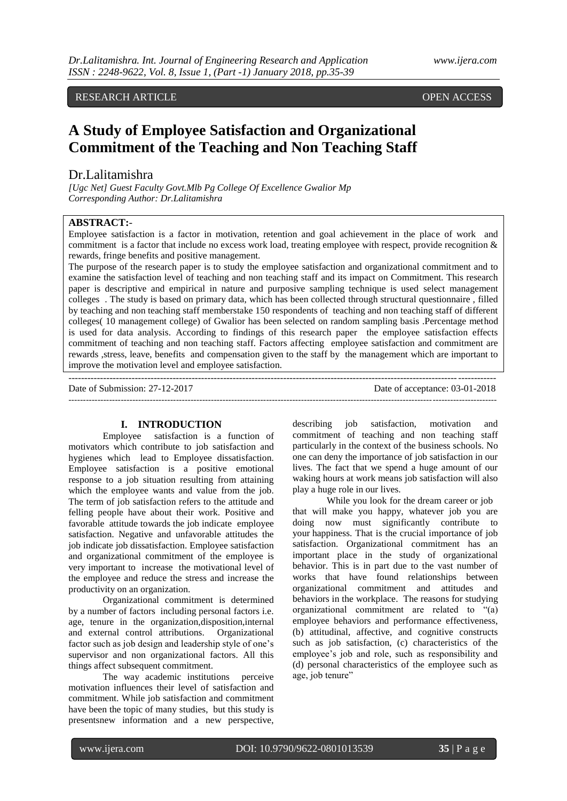RESEARCH ARTICLE **OPEN ACCESS** 

# **A Study of Employee Satisfaction and Organizational Commitment of the Teaching and Non Teaching Staff**

# Dr.Lalitamishra

*[Ugc Net] Guest Faculty Govt.Mlb Pg College Of Excellence Gwalior Mp Corresponding Author: Dr.Lalitamishra*

# **ABSTRACT:**-

Employee satisfaction is a factor in motivation, retention and goal achievement in the place of work and commitment is a factor that include no excess work load, treating employee with respect, provide recognition & rewards, fringe benefits and positive management.

The purpose of the research paper is to study the employee satisfaction and organizational commitment and to examine the satisfaction level of teaching and non teaching staff and its impact on Commitment. This research paper is descriptive and empirical in nature and purposive sampling technique is used select management colleges . The study is based on primary data, which has been collected through structural questionnaire , filled by teaching and non teaching staff memberstake 150 respondents of teaching and non teaching staff of different colleges( 10 management college) of Gwalior has been selected on random sampling basis .Percentage method is used for data analysis. According to findings of this research paper the employee satisfaction effects commitment of teaching and non teaching staff. Factors affecting employee satisfaction and commitment are rewards ,stress, leave, benefits and compensation given to the staff by the management which are important to improve the motivation level and employee satisfaction.

---------------------------------------------------------------------------------------------------------------------------------------

---------------------------------------------------------------------------------------------------------------------------------------------------

Date of Submission: 27-12-2017 Date of acceptance: 03-01-2018

## **I. INTRODUCTION**

Employee satisfaction is a function of motivators which contribute to job satisfaction and hygienes which lead to Employee dissatisfaction. Employee satisfaction is a positive emotional response to a job situation resulting from attaining which the employee wants and value from the job. The term of job satisfaction refers to the attitude and felling people have about their work. Positive and favorable attitude towards the job indicate employee satisfaction. Negative and unfavorable attitudes the job indicate job dissatisfaction. Employee satisfaction and organizational commitment of the employee is very important to increase the motivational level of the employee and reduce the stress and increase the productivity on an organization.

Organizational commitment is determined by a number of factors including personal factors i.e. age, tenure in the organization,disposition,internal and external control attributions. Organizational factor such as job design and leadership style of one"s supervisor and non organizational factors. All this things affect subsequent commitment.

The way academic institutions perceive motivation influences their level of satisfaction and commitment. While job satisfaction and commitment have been the topic of many studies, but this study is presentsnew information and a new perspective,

describing job satisfaction, motivation and commitment of teaching and non teaching staff particularly in the context of the business schools. No one can deny the importance of job satisfaction in our lives. The fact that we spend a huge amount of our waking hours at work means job satisfaction will also play a huge role in our lives.

While you look for the [dream career](http://www.career-success-for-newbies.com/how-to-find-your-dream-career.html) or job that will make you happy, whatever job you are doing now must significantly contribute to your [happiness.](http://www.career-success-for-newbies.com/how-to-be-happy.html) That is the crucial importance of job satisfaction. Organizational commitment has an important place in the study of organizational behavior. This is in part due to the vast number of works that have found relationships between organizational commitment and attitudes and behaviors in the workplace. The reasons for studying organizational commitment are related to "(a) employee behaviors and performance effectiveness, (b) attitudinal, affective, and cognitive constructs such as job satisfaction, (c) characteristics of the employee"s job and role, such as responsibility and (d) personal characteristics of the employee such as age, job tenure"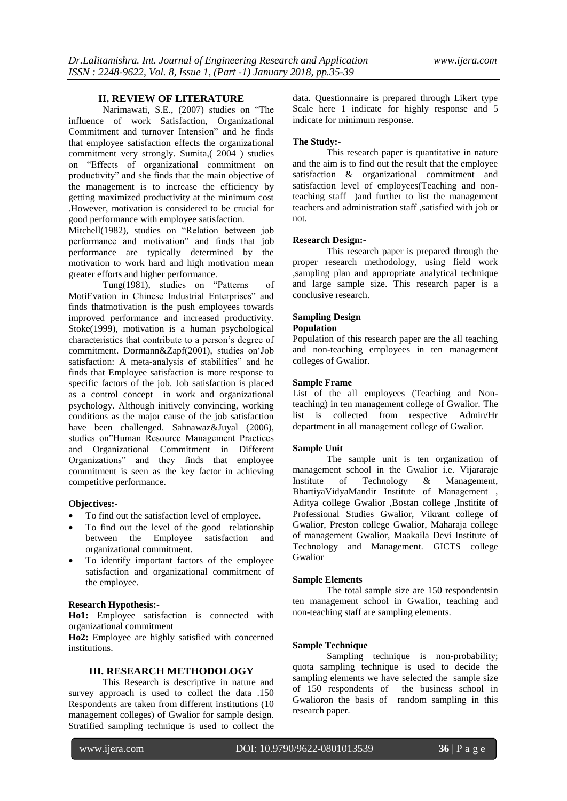## **II. REVIEW OF LITERATURE**

Narimawati, S.E., (2007) studies on "The influence of work Satisfaction, Organizational Commitment and turnover Intension" and he finds that employee satisfaction effects the organizational commitment very strongly. Sumita,( 2004 ) studies on "Effects of organizational commitment on productivity" and she finds that the main objective of the management is to increase the efficiency by getting maximized productivity at the minimum cost .However, motivation is considered to be crucial for good performance with employee satisfaction.

Mitchell(1982), studies on "Relation between job performance and motivation" and finds that job performance are typically determined by the motivation to work hard and high motivation mean greater efforts and higher performance.

Tung(1981), studies on "Patterns of MotiEvation in Chinese Industrial Enterprises" and finds thatmotivation is the push employees towards improved performance and increased productivity. Stoke(1999), motivation is a human psychological characteristics that contribute to a person"s degree of commitment. Dormann&Zapf(2001), studies on"Job satisfaction: A meta-analysis of stabilities" and he finds that Employee satisfaction is more response to specific factors of the job. Job satisfaction is placed as a control concept in work and organizational psychology. Although initively convincing, working conditions as the major cause of the job satisfaction have been challenged. Sahnawaz&Juyal (2006), studies on"Human Resource Management Practices and Organizational Commitment in Different Organizations" and they finds that employee commitment is seen as the key factor in achieving competitive performance.

#### **Objectives:-**

- To find out the satisfaction level of employee.
- To find out the level of the good relationship between the Employee satisfaction and organizational commitment.
- To identify important factors of the employee satisfaction and organizational commitment of the employee.

#### **Research Hypothesis:-**

**Ho1:** Employee satisfaction is connected with organizational commitment

**Ho2:** Employee are highly satisfied with concerned institutions.

## **III. RESEARCH METHODOLOGY**

This Research is descriptive in nature and survey approach is used to collect the data .150 Respondents are taken from different institutions (10 management colleges) of Gwalior for sample design. Stratified sampling technique is used to collect the data. Questionnaire is prepared through Likert type Scale here 1 indicate for highly response and 5 indicate for minimum response.

#### **The Study:-**

This research paper is quantitative in nature and the aim is to find out the result that the employee satisfaction & organizational commitment and satisfaction level of employees(Teaching and nonteaching staff )and further to list the management teachers and administration staff ,satisfied with job or not.

#### **Research Design:-**

This research paper is prepared through the proper research methodology, using field work ,sampling plan and appropriate analytical technique and large sample size. This research paper is a conclusive research.

# **Sampling Design**

# **Population**

Population of this research paper are the all teaching and non-teaching employees in ten management colleges of Gwalior.

## **Sample Frame**

List of the all employees (Teaching and Nonteaching) in ten management college of Gwalior. The list is collected from respective Admin/Hr department in all management college of Gwalior.

#### **Sample Unit**

The sample unit is ten organization of management school in the Gwalior i.e. Vijararaje<br>Institute of Technology & Management, Institute of Technology & Management, BhartiyaVidyaMandir Institute of Management , Aditya college Gwalior ,Bostan college ,Institite of Professional Studies Gwalior, Vikrant college of Gwalior, Preston college Gwalior, Maharaja college of management Gwalior, Maakaila Devi Institute of Technology and Management. GICTS college Gwalior

#### **Sample Elements**

The total sample size are 150 respondentsin ten management school in Gwalior, teaching and non-teaching staff are sampling elements.

#### **Sample Technique**

Sampling technique is non-probability; quota sampling technique is used to decide the sampling elements we have selected the sample size of 150 respondents of the business school in Gwalioron the basis of random sampling in this research paper.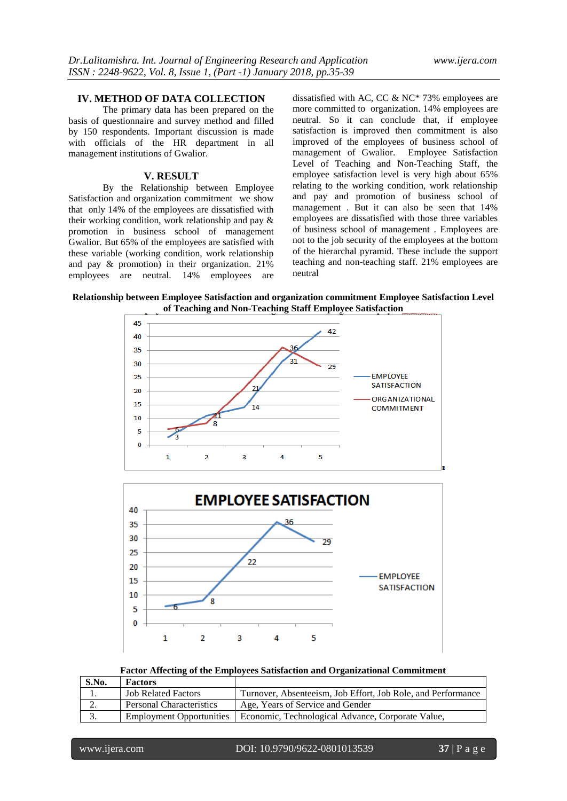## **IV. METHOD OF DATA COLLECTION**

The primary data has been prepared on the basis of questionnaire and survey method and filled by 150 respondents. Important discussion is made with officials of the HR department in all management institutions of Gwalior.

#### **V. RESULT**

By the Relationship between Employee Satisfaction and organization commitment we show that only 14% of the employees are dissatisfied with their working condition, work relationship and pay & promotion in business school of management Gwalior. But 65% of the employees are satisfied with these variable (working condition, work relationship and pay & promotion) in their organization. 21% employees are neutral. 14% employees are

dissatisfied with AC, CC & NC\* 73% employees are more committed to organization. 14% employees are neutral. So it can conclude that, if employee satisfaction is improved then commitment is also improved of the employees of business school of management of Gwalior. Employee Satisfaction Level of Teaching and Non-Teaching Staff, the employee satisfaction level is very high about 65% relating to the working condition, work relationship and pay and promotion of business school of management . But it can also be seen that 14% employees are dissatisfied with those three variables of business school of management . Employees are not to the job security of the employees at the bottom of the hierarchal pyramid. These include the support teaching and non-teaching staff. 21% employees are neutral

**Relationship between Employee Satisfaction and organization commitment Employee Satisfaction Level of Teaching and Non-Teaching Staff Employee Satisfaction**





# **Factor Affecting of the Employees Satisfaction and Organizational Commitment**

| S.No. | <b>Factors</b>                  |                                                              |
|-------|---------------------------------|--------------------------------------------------------------|
|       | <b>Job Related Factors</b>      | Turnover, Absenteeism, Job Effort, Job Role, and Performance |
| ٠.    | <b>Personal Characteristics</b> | Age, Years of Service and Gender                             |
| 3.    | <b>Employment Opportunities</b> | Economic, Technological Advance, Corporate Value,            |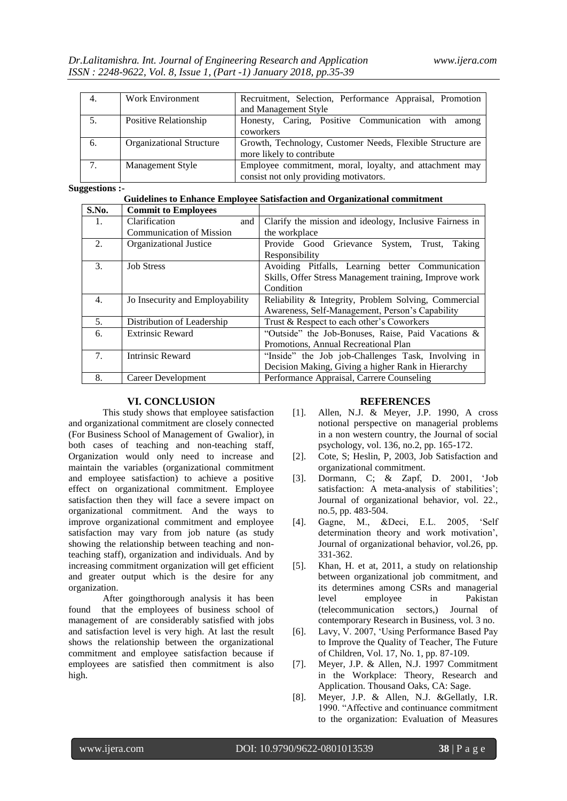| 4.  | <b>Work Environment</b>         | Recruitment, Selection, Performance Appraisal, Promotion<br>and Management Style                  |
|-----|---------------------------------|---------------------------------------------------------------------------------------------------|
| .5. | Positive Relationship           | Honesty, Caring, Positive Communication with among<br>coworkers                                   |
| 6.  | <b>Organizational Structure</b> | Growth, Technology, Customer Needs, Flexible Structure are<br>more likely to contribute           |
| 7.  | Management Style                | Employee commitment, moral, loyalty, and attachment may<br>consist not only providing motivators. |

#### **Suggestions :-**

# **Guidelines to Enhance Employee Satisfaction and Organizational commitment**

| S.No.          | <b>Commit to Employees</b>      |                                                         |
|----------------|---------------------------------|---------------------------------------------------------|
| 1.             | Clarification<br>and            | Clarify the mission and ideology, Inclusive Fairness in |
|                | <b>Communication of Mission</b> | the workplace                                           |
| 2.             | <b>Organizational Justice</b>   | System, Trust,<br>Provide Good Grievance<br>Taking      |
|                |                                 | Responsibility                                          |
| 3.             | <b>Job Stress</b>               | Avoiding Pitfalls, Learning better Communication        |
|                |                                 | Skills, Offer Stress Management training, Improve work  |
|                |                                 | Condition                                               |
| 4.             | Jo Insecurity and Employability | Reliability & Integrity, Problem Solving, Commercial    |
|                |                                 | Awareness, Self-Management, Person's Capability         |
| 5 <sub>1</sub> | Distribution of Leadership      | Trust & Respect to each other's Coworkers               |
| 6.             | <b>Extrinsic Reward</b>         | "Outside" the Job-Bonuses, Raise, Paid Vacations &      |
|                |                                 | Promotions. Annual Recreational Plan                    |
| 7.             | Intrinsic Reward                | "Inside" the Job job-Challenges Task, Involving in      |
|                |                                 | Decision Making, Giving a higher Rank in Hierarchy      |
| 8.             | Career Development              | Performance Appraisal, Carrere Counseling               |

# **VI. CONCLUSION**

This study shows that employee satisfaction and organizational commitment are closely connected (For Business School of Management of Gwalior), in both cases of teaching and non-teaching staff, Organization would only need to increase and maintain the variables (organizational commitment and employee satisfaction) to achieve a positive effect on organizational commitment. Employee satisfaction then they will face a severe impact on organizational commitment. And the ways to improve organizational commitment and employee satisfaction may vary from job nature (as study showing the relationship between teaching and nonteaching staff), organization and individuals. And by increasing commitment organization will get efficient and greater output which is the desire for any organization.

After goingthorough analysis it has been found that the employees of business school of management of are considerably satisfied with jobs and satisfaction level is very high. At last the result shows the relationship between the organizational commitment and employee satisfaction because if employees are satisfied then commitment is also high.

# **REFERENCES**

- [1]. Allen, N.J. & Meyer, J.P. 1990, A cross notional perspective on managerial problems in a non western country, the Journal of social psychology, vol. 136, no.2, pp. 165-172.
- [2]. Cote, S; Heslin, P, 2003, Job Satisfaction and organizational commitment.
- [3]. Dormann, C; & Zapf, D. 2001, "Job satisfaction: A meta-analysis of stabilities'; Journal of organizational behavior, vol. 22., no.5, pp. 483-504.
- [4]. Gagne, M., &Deci, E.L. 2005, "Self determination theory and work motivation", Journal of organizational behavior, vol.26, pp. 331-362.
- [5]. Khan, H. et at, 2011, a study on relationship between organizational job commitment, and its determines among CSRs and managerial level employee in Pakistan (telecommunication sectors,) Journal of contemporary Research in Business, vol. 3 no.
- [6]. Lavy, V. 2007, "Using Performance Based Pay to Improve the Quality of Teacher, The Future of Children, Vol. 17, No. 1, pp. 87-109.
- [7]. Meyer, J.P. & Allen, N.J. 1997 Commitment in the Workplace: Theory, Research and Application. Thousand Oaks, CA: Sage.
- [8]. Meyer, J.P. & Allen, N.J. &Gellatly, I.R. 1990. "Affective and continuance commitment to the organization: Evaluation of Measures